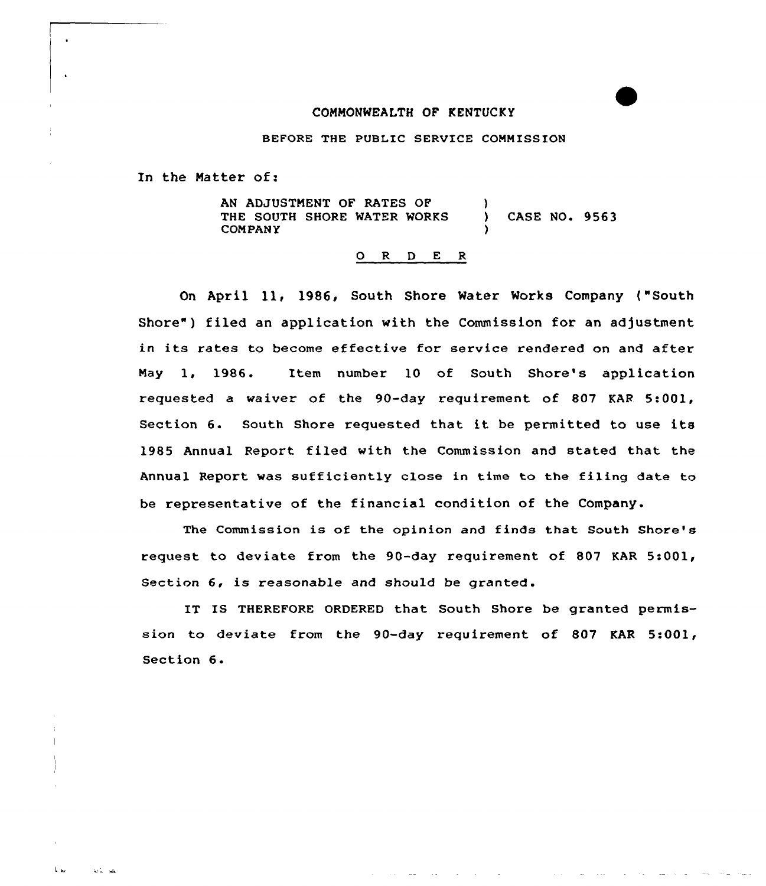## CONNONWEAITH OF KENTUCKY

BEFORE THE PUBLIC SERVICE COMMISSION

In the Natter of:

AN ADJUSTNENT OF RATES OF THE SOUTH SHORE MATER WORKS CONPANY  $\lambda$ CASE NO. 9563 )

## 0 R <sup>D</sup> E <sup>R</sup>

On April ll, 1986, South Shore Mater Works Company ("South Shore") filed an application with the Commission for an adjustment in its rates to become effective for service rendered on and after Nay 1, 1986. Item number 10 of South Shore's application requested a waiver of the 90-day requirement of 807 KAR 5:001, Section 6. South Shore requested that it be permitted to use its 1985 Annual Report filed with the Commission and stated that the Annual Report was sufficiently close in time to the filing date to be representative of the financial condition of the Company.

The Commission is of the opinion and finds that South Shore's request to deviate from the 90-day requirement of 807 KAR 5:001, Section  $6$ , is reasonable and should be granted.

IT IS THEREFORE ORDERED that South Shore be granted permission to deviate from the 90-day requirement of 807 KAR 5:001, Section 6.